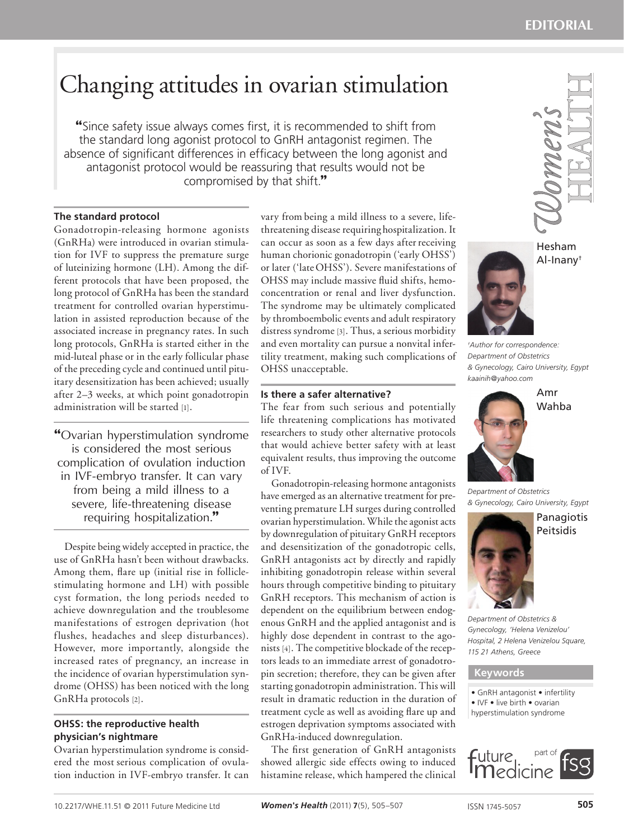# Changing attitudes in ovarian stimulation

**"**Since safety issue always comes first, it is recommended to shift from the standard long agonist protocol to GnRH antagonist regimen. The absence of significant differences in efficacy between the long agonist and antagonist protocol would be reassuring that results would not be compromised by that shift.**"**

# **The standard protocol**

Gonadotropin-releasing hormone agonists (GnRHa) were introduced in ovarian stimulation for IVF to suppress the premature surge of luteinizing hormone (LH). Among the different protocols that have been proposed, the long protocol of GnRHa has been the standard treatment for controlled ovarian hyperstimulation in assisted reproduction because of the associated increase in pregnancy rates. In such long protocols, GnRHa is started either in the mid-luteal phase or in the early follicular phase of the preceding cycle and continued until pituitary desensitization has been achieved; usually after 2–3 weeks, at which point gonadotropin administration will be started [1].

**"**Ovarian hyperstimulation syndrome is considered the most serious complication of ovulation induction in IVF-embryo transfer. It can vary from being a mild illness to a severe, life-threatening disease requiring hospitalization.**"**

Despite being widely accepted in practice, the use of GnRHa hasn't been without drawbacks. Among them, flare up (initial rise in folliclestimulating hormone and LH) with possible cyst formation, the long periods needed to achieve downregulation and the troublesome manifestations of estrogen deprivation (hot flushes, headaches and sleep disturbances). However, more importantly, alongside the increased rates of pregnancy, an increase in the incidence of ovarian hyperstimulation syndrome (OHSS) has been noticed with the long GnRHa protocols [2].

# **OHSS: the reproductive health physician's nightmare**

Ovarian hyperstimulation syndrome is considered the most serious complication of ovulation induction in IVF-embryo transfer. It can vary from being a mild illness to a severe, lifethreatening disease requiringhospitalization. It can occur as soon as a few days after receiving human chorionic gonadotropin ('early OHSS') or later ('lateOHSS'). Severe manifestations of OHSS may include massive fluid shifts, hemoconcentration or renal and liver dysfunction. The syndrome may be ultimately complicated by thromboembolic events and adult respiratory distress syndrome [3]. Thus, a serious morbidity and even mortality can pursue a nonvital infertility treatment, making such complications of OHSS unacceptable.

## **Is there a safer alternative?**

The fear from such serious and potentially life threatening complications has motivated researchers to study other alternative protocols that would achieve better safety with at least equivalent results, thus improving the outcome of IVF.

Gonadotropin-releasing hormone antagonists have emerged as an alternative treatment for preventing premature LH surges during controlled ovarian hyperstimulation. While the agonist acts by downregulation of pituitary GnRH receptors and desensitization of the gonadotropic cells, GnRH antagonists act by directly and rapidly inhibiting gonadotropin release within several hours through competitive binding to pituitary GnRH receptors. This mechanism of action is dependent on the equilibrium between endogenous GnRH and the applied antagonist and is highly dose dependent in contrast to the agonists [4]. The competitive blockade of the receptors leads to an immediate arrest of gonadotropin secretion; therefore, they can be given after starting gonadotropin administration. This will result in dramatic reduction in the duration of treatment cycle as well as avoiding flare up and estrogen deprivation symptoms associated with GnRHa-induced downregulation.

The first generation of GnRH antagonists showed allergic side effects owing to induced histamine release, which hampered the clinical Hesham Al-Inany†



*† Author for correspondence: Department of Obstetrics & Gynecology, Cairo University, Egypt kaainih@yahoo.com*



Amr Wahba

*Department of Obstetrics & Gynecology, Cairo University, Egypt*



Panagiotis Peitsidis

*Department of Obstetrics & Gynecology, 'Helena Venizelou' Hospital, 2 Helena Venizelou Square, 115 21 Athens, Greece*

#### **Keywords**

• GnRH antagonist • infertility • IVF • live birth • ovarian hyperstimulation syndrome

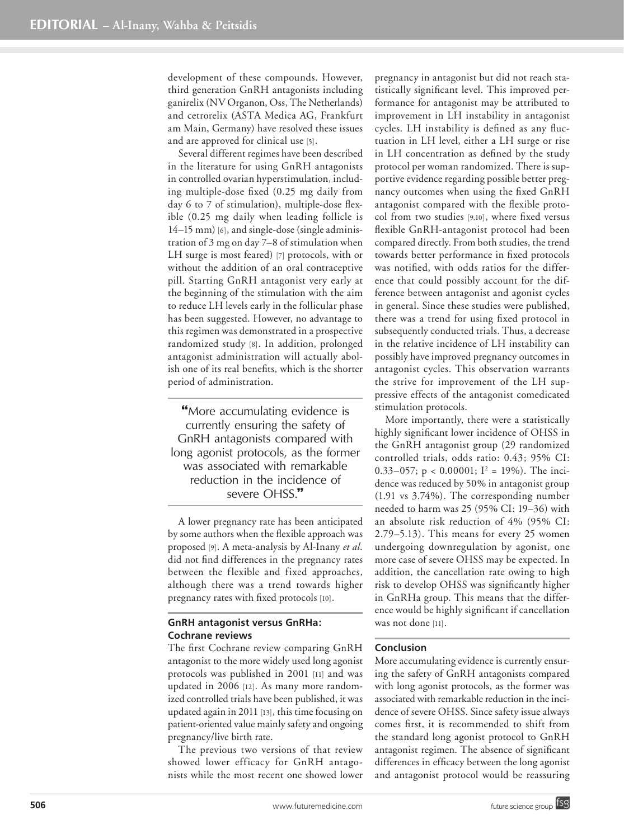development of these compounds. However, third generation GnRH antagonists including ganirelix (NV Organon, Oss, The Netherlands) and cetrorelix (ASTA Medica AG, Frankfurt am Main, Germany) have resolved these issues and are approved for clinical use [5].

Several different regimes have been described in the literature for using GnRH antagonists in controlled ovarian hyperstimulation, including multiple-dose fixed (0.25 mg daily from day 6 to 7 of stimulation), multiple-dose flexible (0.25 mg daily when leading follicle is 14–15 mm) [6], and single-dose (single administration of 3 mg on day 7–8 of stimulation when LH surge is most feared) [7] protocols, with or without the addition of an oral contraceptive pill. Starting GnRH antagonist very early at the beginning of the stimulation with the aim to reduce LH levels early in the follicular phase has been suggested. However, no advantage to this regimen was demonstrated in a prospective randomized study [8]. In addition, prolonged antagonist administration will actually abolish one of its real benefits, which is the shorter period of administration.

**"**More accumulating evidence is currently ensuring the safety of GnRH antagonists compared with long agonist protocols, as the former was associated with remarkable reduction in the incidence of severe OHSS.**"**

A lower pregnancy rate has been anticipated by some authors when the flexible approach was proposed [9]. A meta-analysis by Al-Inany *et al.* did not find differences in the pregnancy rates between the flexible and fixed approaches, although there was a trend towards higher pregnancy rates with fixed protocols [10].

# **GnRH antagonist versus GnRHa: Cochrane reviews**

The first Cochrane review comparing GnRH antagonist to the more widely used long agonist protocols was published in 2001 [11] and was updated in 2006 [12]. As many more randomized controlled trials have been published, it was updated again in 2011 [13], this time focusing on patient-oriented value mainly safety and ongoing pregnancy/live birth rate.

The previous two versions of that review showed lower efficacy for GnRH antagonists while the most recent one showed lower pregnancy in antagonist but did not reach statistically significant level. This improved performance for antagonist may be attributed to improvement in LH instability in antagonist cycles. LH instability is defined as any fluctuation in LH level, either a LH surge or rise in LH concentration as defined by the study protocol per woman randomized. There is supportive evidence regarding possible better pregnancy outcomes when using the fixed GnRH antagonist compared with the flexible protocol from two studies [9,10], where fixed versus flexible GnRH-antagonist protocol had been compared directly. From both studies, the trend towards better performance in fixed protocols was notified, with odds ratios for the difference that could possibly account for the difference between antagonist and agonist cycles in general. Since these studies were published, there was a trend for using fixed protocol in subsequently conducted trials. Thus, a decrease in the relative incidence of LH instability can possibly have improved pregnancy outcomes in antagonist cycles. This observation warrants the strive for improvement of the LH suppressive effects of the antagonist comedicated stimulation protocols.

More importantly, there were a statistically highly significant lower incidence of OHSS in the GnRH antagonist group (29 randomized controlled trials, odds ratio: 0.43; 95% CI: 0.33–057; p < 0.00001;  $I^2 = 19\%$ ). The incidence was reduced by 50% in antagonist group (1.91 vs 3.74%). The corresponding number needed to harm was 25 (95% CI: 19–36) with an absolute risk reduction of 4% (95% CI: 2.79–5.13). This means for every 25 women undergoing downregulation by agonist, one more case of severe OHSS may be expected. In addition, the cancellation rate owing to high risk to develop OHSS was significantly higher in GnRHa group. This means that the difference would be highly significant if cancellation was not done [11].

## **Conclusion**

More accumulating evidence is currently ensuring the safety of GnRH antagonists compared with long agonist protocols, as the former was associated with remarkable reduction in the incidence of severe OHSS. Since safety issue always comes first, it is recommended to shift from the standard long agonist protocol to GnRH antagonist regimen. The absence of significant differences in efficacy between the long agonist and antagonist protocol would be reassuring